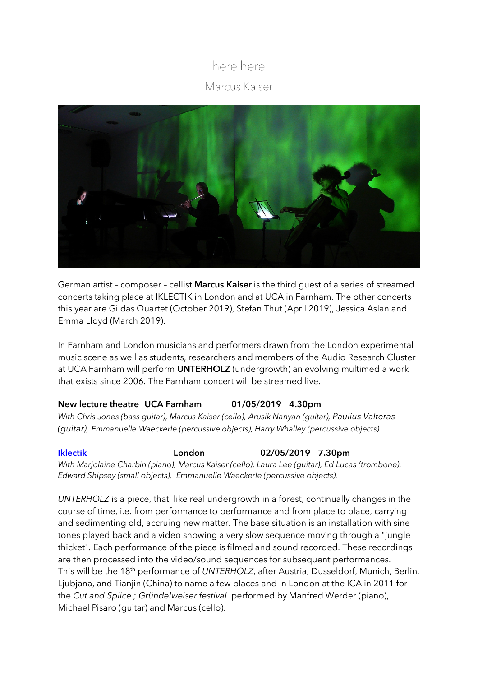## here.here Marcus Kaiser



German artist – composer – cellist **Marcus Kaiser** is the third guest of a series of streamed concerts taking place at IKLECTIK in London and at UCA in Farnham. The other concerts this year are Gildas Quartet (October 2019), Stefan Thut (April 2019), Jessica Aslan and Emma Lloyd (March 2019).

In Farnham and London musicians and performers drawn from the London experimental music scene as well as students, researchers and members of the Audio Research Cluster at UCA Farnham will perform **UNTERHOLZ** (undergrowth) an evolving multimedia work that exists since 2006. The Farnham concert will be streamed live.

## **New lecture theatre UCA Farnham 01/05/2019 4.30pm**

*With Chris Jones (bass guitar), Marcus Kaiser (cello), Arusik Nanyan (guitar), Paulius Valteras (guitar), Emmanuelle Waeckerle (percussive objects), Harry Whalley (percussive objects)*

**Iklectik London 02/05/2019 7.30pm**

*With Marjolaine Charbin (piano), Marcus Kaiser (cello), Laura Lee (guitar), Ed Lucas (trombone), Edward Shipsey (small objects), Emmanuelle Waeckerle (percussive objects).*

*UNTERHOLZ* is a piece, that, like real undergrowth in a forest, continually changes in the course of time, i.e. from performance to performance and from place to place, carrying and sedimenting old, accruing new matter. The base situation is an installation with sine tones played back and a video showing a very slow sequence moving through a "jungle thicket". Each performance of the piece is filmed and sound recorded. These recordings are then processed into the video/sound sequences for subsequent performances. This will be the 18th performance of *UNTERHOLZ*, after Austria, Dusseldorf, Munich, Berlin, Ljubjana, and Tianjin (China) to name a few places and in London at the ICA in 2011 for the *Cut and Splice ; Gründelweiser festival* performed by Manfred Werder (piano), Michael Pisaro (guitar) and Marcus (cello).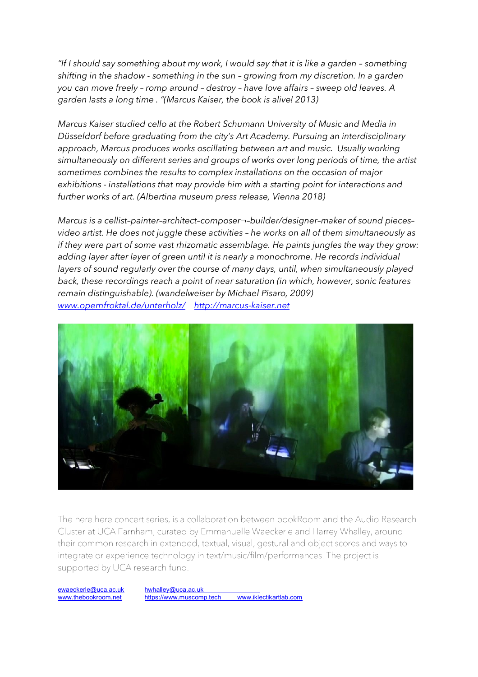*"If I should say something about my work, I would say that it is like a garden – something shifting in the shadow - something in the sun – growing from my discretion. In a garden you can move freely – romp around – destroy – have love affairs – sweep old leaves. A garden lasts a long time . "(Marcus Kaiser, the book is alive! 2013)* 

*Marcus Kaiser studied cello at the Robert Schumann University of Music and Media in Düsseldorf before graduating from the city's Art Academy. Pursuing an interdisciplinary approach, Marcus produces works oscillating between art and music. Usually working simultaneously on different series and groups of works over long periods of time, the artist sometimes combines the results to complex installations on the occasion of major exhibitions - installations that may provide him with a starting point for interactions and further works of art. (Albertina museum press release, Vienna 2018)*

*Marcus is a cellist–painter–architect–composer¬–builder/designer–maker of sound pieces– video artist. He does not juggle these activities – he works on all of them simultaneously as if they were part of some vast rhizomatic assemblage. He paints jungles the way they grow: adding layer after layer of green until it is nearly a monochrome. He records individual layers of sound regularly over the course of many days, until, when simultaneously played back, these recordings reach a point of near saturation (in which, however, sonic features remain distinguishable). (wandelweiser by Michael Pisaro, 2009) www.opernfroktal.de/unterholz/ http://marcus-kaiser.net*



The here.here concert series, is a collaboration between bookRoom and the Audio Research Cluster at UCA Farnham, curated by Emmanuelle Waeckerle and Harrey Whalley, around their common research in extended, textual, visual, gestural and object scores and ways to integrate or experience technology in text/music/film/performances. The project is supported by UCA research fund.

ewaeckerle@uca.ac.uk hwhalley@uca.ac.uk www.thebookroom.net https://www.muscomp.tech www.iklectikartlab.com